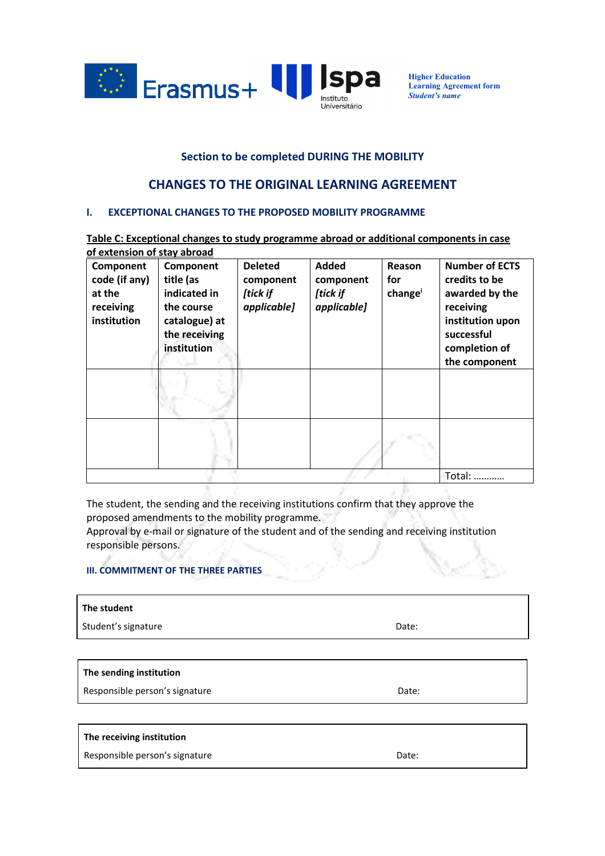

**Higher Education Learning Agreement form**  *Student's name* 

## **Section to be completed DURING THE MOBILITY**

# **CHANGES TO THE ORIGINAL LEARNING AGREEMENT**

#### **I. EXCEPTIONAL CHANGES TO THE PROPOSED MOBILITY PROGRAMME**

**Table C: Exceptional changes to study programme abroad or additional components in case of extension of stay abroad** 

| Component<br>code (if any)<br>at the<br>receiving<br>institution | Component<br>title (as<br>indicated in<br>the course<br>catalogue) at<br>the receiving<br>institution | <b>Deleted</b><br>component<br>[tick if<br>applicable] | <b>Added</b><br>component<br>[tick if<br>applicable] | Reason<br>for<br>change | <b>Number of ECTS</b><br>credits to be<br>awarded by the<br>receiving<br>institution upon<br>successful<br>completion of<br>the component |
|------------------------------------------------------------------|-------------------------------------------------------------------------------------------------------|--------------------------------------------------------|------------------------------------------------------|-------------------------|-------------------------------------------------------------------------------------------------------------------------------------------|
|                                                                  |                                                                                                       |                                                        |                                                      |                         |                                                                                                                                           |
|                                                                  |                                                                                                       |                                                        |                                                      |                         |                                                                                                                                           |
|                                                                  |                                                                                                       |                                                        |                                                      |                         | Total:                                                                                                                                    |

The student, the sending and the receiving institutions confirm that they approve the proposed amendments to the mobility programme.

Approval by e-mail or signature of the student and of the sending and receiving institution responsible persons.

### **III. COMMITMENT OF THE THREE PARTIES**

| The student         |       |  |  |
|---------------------|-------|--|--|
| Student's signature | Date: |  |  |
|                     |       |  |  |
| .                   |       |  |  |

### **The sending institution**

Responsible person's signature departure descriptions of the Date:

#### **The receiving institution**

Responsible person's signature departure descriptions of the Date:

b